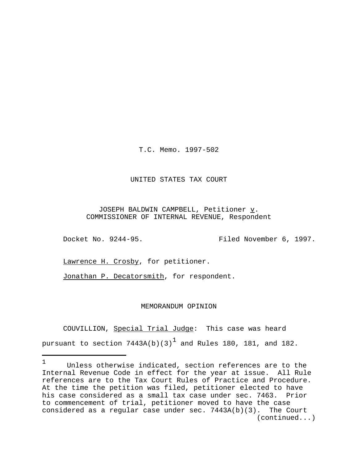T.C. Memo. 1997-502

## UNITED STATES TAX COURT

JOSEPH BALDWIN CAMPBELL, Petitioner v. COMMISSIONER OF INTERNAL REVENUE, Respondent

Docket No. 9244-95. Filed November 6, 1997.

Lawrence H. Crosby, for petitioner.

Jonathan P. Decatorsmith, for respondent.

## MEMORANDUM OPINION

 COUVILLION, Special Trial Judge: This case was heard pursuant to section  $7443$ A(b)(3) $^{\text{1}}$  and Rules 180, 181, and 182.

<sup>1</sup> Unless otherwise indicated, section references are to the Internal Revenue Code in effect for the year at issue. All Rule references are to the Tax Court Rules of Practice and Procedure. At the time the petition was filed, petitioner elected to have his case considered as a small tax case under sec. 7463. Prior to commencement of trial, petitioner moved to have the case considered as a regular case under sec. 7443A(b)(3). The Court (continued...)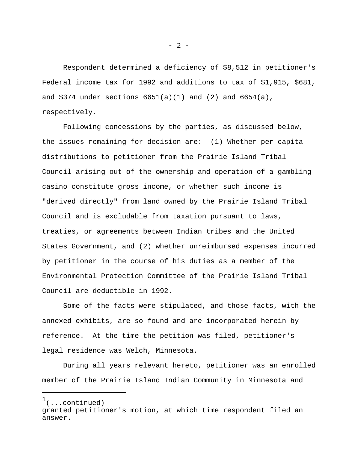Respondent determined a deficiency of \$8,512 in petitioner's Federal income tax for 1992 and additions to tax of \$1,915, \$681, and \$374 under sections  $6651(a)(1)$  and  $(2)$  and  $6654(a)$ , respectively.

 Following concessions by the parties, as discussed below, the issues remaining for decision are: (1) Whether per capita distributions to petitioner from the Prairie Island Tribal Council arising out of the ownership and operation of a gambling casino constitute gross income, or whether such income is "derived directly" from land owned by the Prairie Island Tribal Council and is excludable from taxation pursuant to laws, treaties, or agreements between Indian tribes and the United States Government, and (2) whether unreimbursed expenses incurred by petitioner in the course of his duties as a member of the Environmental Protection Committee of the Prairie Island Tribal Council are deductible in 1992.

 Some of the facts were stipulated, and those facts, with the annexed exhibits, are so found and are incorporated herein by reference. At the time the petition was filed, petitioner's legal residence was Welch, Minnesota.

During all years relevant hereto, petitioner was an enrolled member of the Prairie Island Indian Community in Minnesota and

 $1$ (...continued)

granted petitioner's motion, at which time respondent filed an answer.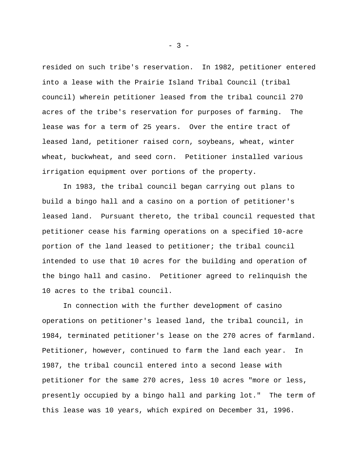resided on such tribe's reservation. In 1982, petitioner entered into a lease with the Prairie Island Tribal Council (tribal council) wherein petitioner leased from the tribal council 270 acres of the tribe's reservation for purposes of farming. The lease was for a term of 25 years. Over the entire tract of leased land, petitioner raised corn, soybeans, wheat, winter wheat, buckwheat, and seed corn. Petitioner installed various irrigation equipment over portions of the property.

In 1983, the tribal council began carrying out plans to build a bingo hall and a casino on a portion of petitioner's leased land. Pursuant thereto, the tribal council requested that petitioner cease his farming operations on a specified 10-acre portion of the land leased to petitioner; the tribal council intended to use that 10 acres for the building and operation of the bingo hall and casino. Petitioner agreed to relinquish the 10 acres to the tribal council.

In connection with the further development of casino operations on petitioner's leased land, the tribal council, in 1984, terminated petitioner's lease on the 270 acres of farmland. Petitioner, however, continued to farm the land each year. In 1987, the tribal council entered into a second lease with petitioner for the same 270 acres, less 10 acres "more or less, presently occupied by a bingo hall and parking lot." The term of this lease was 10 years, which expired on December 31, 1996.

 $- 3 -$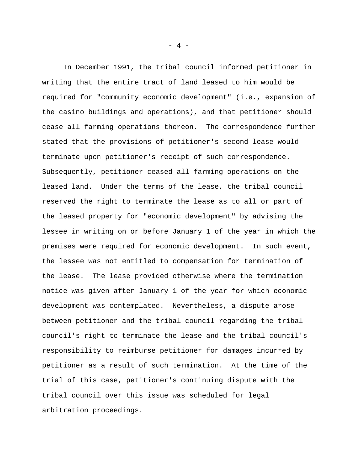In December 1991, the tribal council informed petitioner in writing that the entire tract of land leased to him would be required for "community economic development" (i.e., expansion of the casino buildings and operations), and that petitioner should cease all farming operations thereon. The correspondence further stated that the provisions of petitioner's second lease would terminate upon petitioner's receipt of such correspondence. Subsequently, petitioner ceased all farming operations on the leased land. Under the terms of the lease, the tribal council reserved the right to terminate the lease as to all or part of the leased property for "economic development" by advising the lessee in writing on or before January 1 of the year in which the premises were required for economic development. In such event, the lessee was not entitled to compensation for termination of the lease. The lease provided otherwise where the termination notice was given after January 1 of the year for which economic development was contemplated. Nevertheless, a dispute arose between petitioner and the tribal council regarding the tribal council's right to terminate the lease and the tribal council's responsibility to reimburse petitioner for damages incurred by petitioner as a result of such termination. At the time of the trial of this case, petitioner's continuing dispute with the tribal council over this issue was scheduled for legal arbitration proceedings.

- 4 -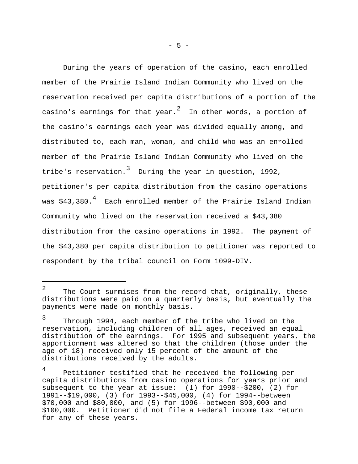During the years of operation of the casino, each enrolled member of the Prairie Island Indian Community who lived on the reservation received per capita distributions of a portion of the casino's earnings for that year. $^2$  In other words, a portion of the casino's earnings each year was divided equally among, and distributed to, each man, woman, and child who was an enrolled member of the Prairie Island Indian Community who lived on the tribe's reservation. $^3$  During the year in question, 1992, petitioner's per capita distribution from the casino operations was \$43,380. $^4\;$  Each enrolled member of the Prairie Island Indian Community who lived on the reservation received a \$43,380 distribution from the casino operations in 1992. The payment of the \$43,380 per capita distribution to petitioner was reported to respondent by the tribal council on Form 1099-DIV.

<sup>2</sup> The Court surmises from the record that, originally, these distributions were paid on a quarterly basis, but eventually the payments were made on monthly basis.

<sup>3</sup> Through 1994, each member of the tribe who lived on the reservation, including children of all ages, received an equal distribution of the earnings. For 1995 and subsequent years, the apportionment was altered so that the children (those under the age of 18) received only 15 percent of the amount of the distributions received by the adults.

<sup>4</sup> Petitioner testified that he received the following per capita distributions from casino operations for years prior and subsequent to the year at issue: (1) for 1990--\$200, (2) for 1991--\$19,000, (3) for 1993--\$45,000, (4) for 1994--between \$70,000 and \$80,000, and (5) for 1996--between \$90,000 and \$100,000. Petitioner did not file a Federal income tax return for any of these years.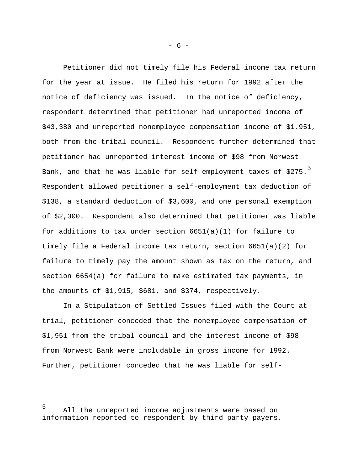Petitioner did not timely file his Federal income tax return for the year at issue. He filed his return for 1992 after the notice of deficiency was issued. In the notice of deficiency, respondent determined that petitioner had unreported income of \$43,380 and unreported nonemployee compensation income of \$1,951, both from the tribal council. Respondent further determined that petitioner had unreported interest income of \$98 from Norwest Bank, and that he was liable for self-employment taxes of  $$275.<sup>5</sup>$ Respondent allowed petitioner a self-employment tax deduction of \$138, a standard deduction of \$3,600, and one personal exemption of \$2,300. Respondent also determined that petitioner was liable for additions to tax under section 6651(a)(1) for failure to timely file a Federal income tax return, section 6651(a)(2) for failure to timely pay the amount shown as tax on the return, and section 6654(a) for failure to make estimated tax payments, in the amounts of \$1,915, \$681, and \$374, respectively.

In a Stipulation of Settled Issues filed with the Court at trial, petitioner conceded that the nonemployee compensation of \$1,951 from the tribal council and the interest income of \$98 from Norwest Bank were includable in gross income for 1992. Further, petitioner conceded that he was liable for self-

- 6 -

<sup>5</sup> All the unreported income adjustments were based on information reported to respondent by third party payers.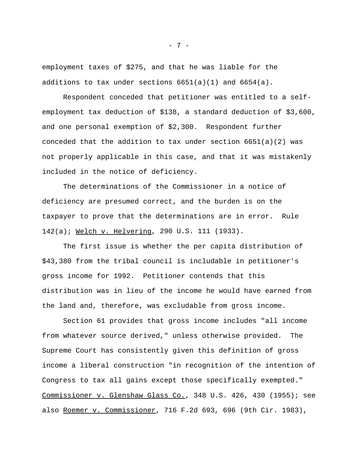employment taxes of \$275, and that he was liable for the additions to tax under sections  $6651(a)(1)$  and  $6654(a)$ .

Respondent conceded that petitioner was entitled to a selfemployment tax deduction of \$138, a standard deduction of \$3,600, and one personal exemption of \$2,300. Respondent further conceded that the addition to tax under section 6651(a)(2) was not properly applicable in this case, and that it was mistakenly included in the notice of deficiency.

 The determinations of the Commissioner in a notice of deficiency are presumed correct, and the burden is on the taxpayer to prove that the determinations are in error. Rule 142(a); Welch v. Helvering, 290 U.S. 111 (1933).

 The first issue is whether the per capita distribution of \$43,380 from the tribal council is includable in petitioner's gross income for 1992. Petitioner contends that this distribution was in lieu of the income he would have earned from the land and, therefore, was excludable from gross income.

Section 61 provides that gross income includes "all income from whatever source derived," unless otherwise provided. The Supreme Court has consistently given this definition of gross income a liberal construction "in recognition of the intention of Congress to tax all gains except those specifically exempted." Commissioner v. Glenshaw Glass Co., 348 U.S. 426, 430 (1955); see also Roemer v. Commissioner, 716 F.2d 693, 696 (9th Cir. 1983),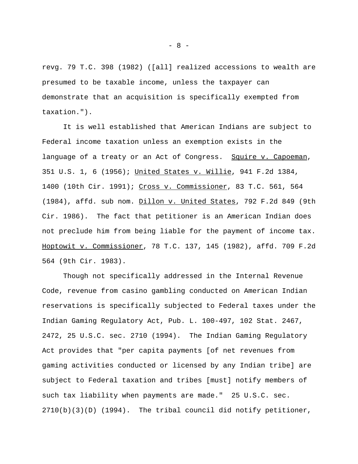revg. 79 T.C. 398 (1982) ([all] realized accessions to wealth are presumed to be taxable income, unless the taxpayer can demonstrate that an acquisition is specifically exempted from taxation.").

It is well established that American Indians are subject to Federal income taxation unless an exemption exists in the language of a treaty or an Act of Congress. Squire v. Capoeman, 351 U.S. 1, 6 (1956); United States v. Willie, 941 F.2d 1384, 1400 (10th Cir. 1991); Cross v. Commissioner, 83 T.C. 561, 564 (1984), affd. sub nom. Dillon v. United States, 792 F.2d 849 (9th Cir. 1986). The fact that petitioner is an American Indian does not preclude him from being liable for the payment of income tax. Hoptowit v. Commissioner, 78 T.C. 137, 145 (1982), affd. 709 F.2d 564 (9th Cir. 1983).

Though not specifically addressed in the Internal Revenue Code, revenue from casino gambling conducted on American Indian reservations is specifically subjected to Federal taxes under the Indian Gaming Regulatory Act, Pub. L. 100-497, 102 Stat. 2467, 2472, 25 U.S.C. sec. 2710 (1994). The Indian Gaming Regulatory Act provides that "per capita payments [of net revenues from gaming activities conducted or licensed by any Indian tribe] are subject to Federal taxation and tribes [must] notify members of such tax liability when payments are made." 25 U.S.C. sec.  $2710(b)(3)(D)$  (1994). The tribal council did notify petitioner,

- 8 -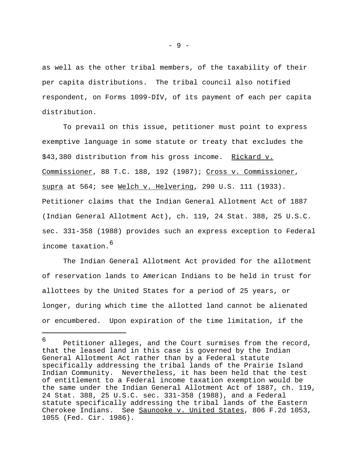as well as the other tribal members, of the taxability of their per capita distributions. The tribal council also notified respondent, on Forms 1099-DIV, of its payment of each per capita distribution.

To prevail on this issue, petitioner must point to express exemptive language in some statute or treaty that excludes the \$43,380 distribution from his gross income. Rickard v. Commissioner, 88 T.C. 188, 192 (1987); Cross v. Commissioner, supra at 564; see Welch v. Helvering, 290 U.S. 111 (1933). Petitioner claims that the Indian General Allotment Act of 1887 (Indian General Allotment Act), ch. 119, 24 Stat. 388, 25 U.S.C. sec. 331-358 (1988) provides such an express exception to Federal income taxation.<sup>6</sup>

The Indian General Allotment Act provided for the allotment of reservation lands to American Indians to be held in trust for allottees by the United States for a period of 25 years, or longer, during which time the allotted land cannot be alienated or encumbered. Upon expiration of the time limitation, if the

<sup>6</sup> Petitioner alleges, and the Court surmises from the record, that the leased land in this case is governed by the Indian General Allotment Act rather than by a Federal statute specifically addressing the tribal lands of the Prairie Island Indian Community. Nevertheless, it has been held that the test of entitlement to a Federal income taxation exemption would be the same under the Indian General Allotment Act of 1887, ch. 119, 24 Stat. 388, 25 U.S.C. sec. 331-358 (1988), and a Federal statute specifically addressing the tribal lands of the Eastern Cherokee Indians. See Saunooke v. United States, 806 F.2d 1053, 1055 (Fed. Cir. 1986).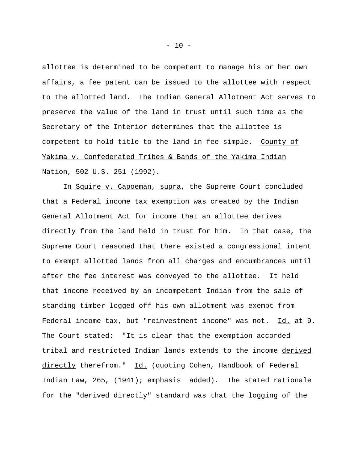allottee is determined to be competent to manage his or her own affairs, a fee patent can be issued to the allottee with respect to the allotted land. The Indian General Allotment Act serves to preserve the value of the land in trust until such time as the Secretary of the Interior determines that the allottee is competent to hold title to the land in fee simple. County of Yakima v. Confederated Tribes & Bands of the Yakima Indian Nation, 502 U.S. 251 (1992).

In Squire v. Capoeman, supra, the Supreme Court concluded that a Federal income tax exemption was created by the Indian General Allotment Act for income that an allottee derives directly from the land held in trust for him. In that case, the Supreme Court reasoned that there existed a congressional intent to exempt allotted lands from all charges and encumbrances until after the fee interest was conveyed to the allottee. It held that income received by an incompetent Indian from the sale of standing timber logged off his own allotment was exempt from Federal income tax, but "reinvestment income" was not. Id. at 9. The Court stated: "It is clear that the exemption accorded tribal and restricted Indian lands extends to the income derived directly therefrom." Id. (quoting Cohen, Handbook of Federal Indian Law, 265, (1941); emphasis added). The stated rationale for the "derived directly" standard was that the logging of the

 $- 10 -$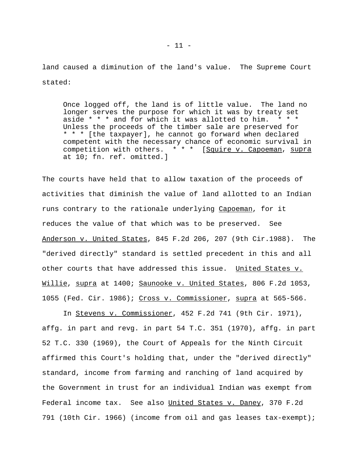land caused a diminution of the land's value. The Supreme Court stated:

Once logged off, the land is of little value. The land no longer serves the purpose for which it was by treaty set aside  $* * *$  and for which it was allotted to him.  $* * *$ Unless the proceeds of the timber sale are preserved for \* \* \* [the taxpayer], he cannot go forward when declared competent with the necessary chance of economic survival in competition with others. \* \* \* [Squire v. Capoeman, supra at 10; fn. ref. omitted.]

The courts have held that to allow taxation of the proceeds of activities that diminish the value of land allotted to an Indian runs contrary to the rationale underlying Capoeman, for it reduces the value of that which was to be preserved. See Anderson v. United States, 845 F.2d 206, 207 (9th Cir.1988). The "derived directly" standard is settled precedent in this and all other courts that have addressed this issue. United States v. Willie, supra at 1400; Saunooke v. United States, 806 F.2d 1053, 1055 (Fed. Cir. 1986); Cross v. Commissioner, supra at 565-566.

In Stevens v. Commissioner, 452 F.2d 741 (9th Cir. 1971), affg. in part and revg. in part 54 T.C. 351 (1970), affg. in part 52 T.C. 330 (1969), the Court of Appeals for the Ninth Circuit affirmed this Court's holding that, under the "derived directly" standard, income from farming and ranching of land acquired by the Government in trust for an individual Indian was exempt from Federal income tax. See also United States v. Daney, 370 F.2d 791 (10th Cir. 1966) (income from oil and gas leases tax-exempt);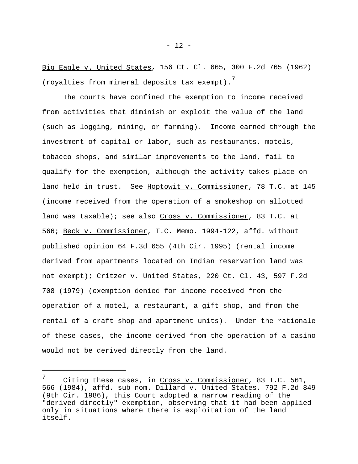Big Eagle v. United States, 156 Ct. Cl. 665, 300 F.2d 765 (1962) (royalties from mineral deposits tax exempt).<sup>7</sup>

The courts have confined the exemption to income received from activities that diminish or exploit the value of the land (such as logging, mining, or farming). Income earned through the investment of capital or labor, such as restaurants, motels, tobacco shops, and similar improvements to the land, fail to qualify for the exemption, although the activity takes place on land held in trust. See Hoptowit v. Commissioner, 78 T.C. at 145 (income received from the operation of a smokeshop on allotted land was taxable); see also Cross v. Commissioner, 83 T.C. at 566; Beck v. Commissioner, T.C. Memo. 1994-122, affd. without published opinion 64 F.3d 655 (4th Cir. 1995) (rental income derived from apartments located on Indian reservation land was not exempt); Critzer v. United States, 220 Ct. Cl. 43, 597 F.2d 708 (1979) (exemption denied for income received from the operation of a motel, a restaurant, a gift shop, and from the rental of a craft shop and apartment units). Under the rationale of these cases, the income derived from the operation of a casino would not be derived directly from the land.

<sup>7</sup> Citing these cases, in Cross v. Commissioner, 83 T.C. 561, 566 (1984), affd. sub nom. Dillard v. United States, 792 F.2d 849 (9th Cir. 1986), this Court adopted a narrow reading of the "derived directly" exemption, observing that it had been applied only in situations where there is exploitation of the land itself.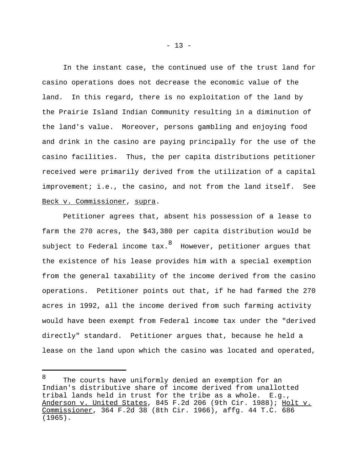In the instant case, the continued use of the trust land for casino operations does not decrease the economic value of the land. In this regard, there is no exploitation of the land by the Prairie Island Indian Community resulting in a diminution of the land's value. Moreover, persons gambling and enjoying food and drink in the casino are paying principally for the use of the casino facilities. Thus, the per capita distributions petitioner received were primarily derived from the utilization of a capital improvement; i.e., the casino, and not from the land itself. See Beck v. Commissioner, supra.

Petitioner agrees that, absent his possession of a lease to farm the 270 acres, the \$43,380 per capita distribution would be subject to Federal income tax. $^8\,$  However, petitioner argues that the existence of his lease provides him with a special exemption from the general taxability of the income derived from the casino operations. Petitioner points out that, if he had farmed the 270 acres in 1992, all the income derived from such farming activity would have been exempt from Federal income tax under the "derived directly" standard. Petitioner argues that, because he held a lease on the land upon which the casino was located and operated,

<sup>8</sup> The courts have uniformly denied an exemption for an Indian's distributive share of income derived from unallotted tribal lands held in trust for the tribe as a whole. E.g., Anderson v. United States, 845 F.2d 206 (9th Cir. 1988); Holt v. Commissioner, 364 F.2d 38 (8th Cir. 1966), affg. 44 T.C. 686 (1965).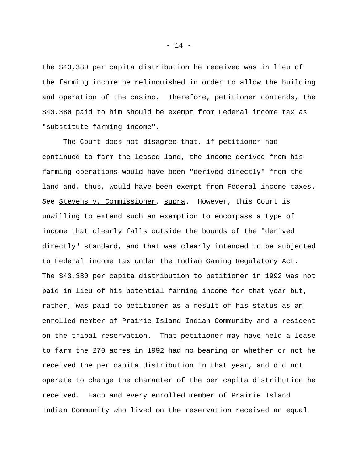the \$43,380 per capita distribution he received was in lieu of the farming income he relinquished in order to allow the building and operation of the casino. Therefore, petitioner contends, the \$43,380 paid to him should be exempt from Federal income tax as "substitute farming income".

The Court does not disagree that, if petitioner had continued to farm the leased land, the income derived from his farming operations would have been "derived directly" from the land and, thus, would have been exempt from Federal income taxes. See Stevens v. Commissioner, supra. However, this Court is unwilling to extend such an exemption to encompass a type of income that clearly falls outside the bounds of the "derived directly" standard, and that was clearly intended to be subjected to Federal income tax under the Indian Gaming Regulatory Act. The \$43,380 per capita distribution to petitioner in 1992 was not paid in lieu of his potential farming income for that year but, rather, was paid to petitioner as a result of his status as an enrolled member of Prairie Island Indian Community and a resident on the tribal reservation. That petitioner may have held a lease to farm the 270 acres in 1992 had no bearing on whether or not he received the per capita distribution in that year, and did not operate to change the character of the per capita distribution he received. Each and every enrolled member of Prairie Island Indian Community who lived on the reservation received an equal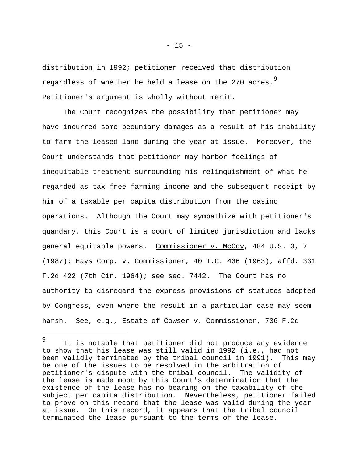distribution in 1992; petitioner received that distribution regardless of whether he held a lease on the 270 acres.<sup>9</sup> Petitioner's argument is wholly without merit.

The Court recognizes the possibility that petitioner may have incurred some pecuniary damages as a result of his inability to farm the leased land during the year at issue. Moreover, the Court understands that petitioner may harbor feelings of inequitable treatment surrounding his relinquishment of what he regarded as tax-free farming income and the subsequent receipt by him of a taxable per capita distribution from the casino operations. Although the Court may sympathize with petitioner's quandary, this Court is a court of limited jurisdiction and lacks general equitable powers. Commissioner v. McCoy, 484 U.S. 3, 7 (1987); Hays Corp. v. Commissioner, 40 T.C. 436 (1963), affd. 331 F.2d 422 (7th Cir. 1964); see sec. 7442. The Court has no authority to disregard the express provisions of statutes adopted by Congress, even where the result in a particular case may seem harsh. See, e.g., Estate of Cowser v. Commissioner, 736 F.2d

<sup>9</sup> It is notable that petitioner did not produce any evidence to show that his lease was still valid in 1992 (i.e., had not been validly terminated by the tribal council in 1991). This may be one of the issues to be resolved in the arbitration of petitioner's dispute with the tribal council. The validity of the lease is made moot by this Court's determination that the existence of the lease has no bearing on the taxability of the subject per capita distribution. Nevertheless, petitioner failed to prove on this record that the lease was valid during the year at issue. On this record, it appears that the tribal council terminated the lease pursuant to the terms of the lease.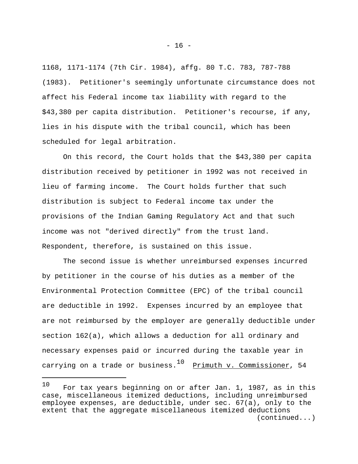1168, 1171-1174 (7th Cir. 1984), affg. 80 T.C. 783, 787-788 (1983). Petitioner's seemingly unfortunate circumstance does not affect his Federal income tax liability with regard to the \$43,380 per capita distribution. Petitioner's recourse, if any, lies in his dispute with the tribal council, which has been scheduled for legal arbitration.

On this record, the Court holds that the \$43,380 per capita distribution received by petitioner in 1992 was not received in lieu of farming income. The Court holds further that such distribution is subject to Federal income tax under the provisions of the Indian Gaming Regulatory Act and that such income was not "derived directly" from the trust land. Respondent, therefore, is sustained on this issue.

The second issue is whether unreimbursed expenses incurred by petitioner in the course of his duties as a member of the Environmental Protection Committee (EPC) of the tribal council are deductible in 1992. Expenses incurred by an employee that are not reimbursed by the employer are generally deductible under section 162(a), which allows a deduction for all ordinary and necessary expenses paid or incurred during the taxable year in carrying on a trade or business.<sup>10</sup> <u>Primuth v. Commissioner</u>, 54

<sup>10</sup> For tax years beginning on or after Jan. 1, 1987, as in this case, miscellaneous itemized deductions, including unreimbursed employee expenses, are deductible, under sec. 67(a), only to the extent that the aggregate miscellaneous itemized deductions (continued...)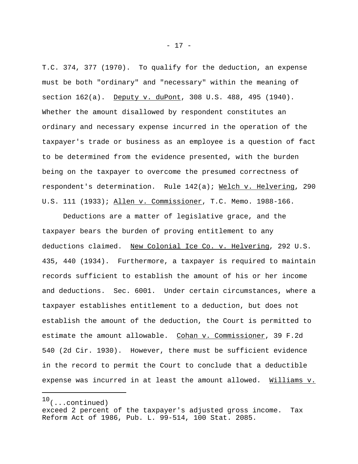T.C. 374, 377 (1970). To qualify for the deduction, an expense must be both "ordinary" and "necessary" within the meaning of section 162(a). Deputy v. duPont, 308 U.S. 488, 495 (1940). Whether the amount disallowed by respondent constitutes an ordinary and necessary expense incurred in the operation of the taxpayer's trade or business as an employee is a question of fact to be determined from the evidence presented, with the burden being on the taxpayer to overcome the presumed correctness of respondent's determination. Rule 142(a); Welch v. Helvering, 290 U.S. 111 (1933); Allen v. Commissioner, T.C. Memo. 1988-166.

Deductions are a matter of legislative grace, and the taxpayer bears the burden of proving entitlement to any deductions claimed. New Colonial Ice Co. v. Helvering, 292 U.S. 435, 440 (1934). Furthermore, a taxpayer is required to maintain records sufficient to establish the amount of his or her income and deductions. Sec. 6001. Under certain circumstances, where a taxpayer establishes entitlement to a deduction, but does not establish the amount of the deduction, the Court is permitted to estimate the amount allowable. Cohan v. Commissioner, 39 F.2d 540 (2d Cir. 1930). However, there must be sufficient evidence in the record to permit the Court to conclude that a deductible expense was incurred in at least the amount allowed. Williams v.

 $10$ (...continued)

exceed 2 percent of the taxpayer's adjusted gross income. Tax Reform Act of 1986, Pub. L. 99-514, 100 Stat. 2085.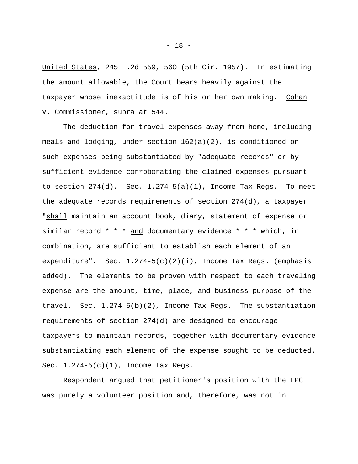United States, 245 F.2d 559, 560 (5th Cir. 1957). In estimating the amount allowable, the Court bears heavily against the taxpayer whose inexactitude is of his or her own making. Cohan v. Commissioner, supra at 544.

The deduction for travel expenses away from home, including meals and lodging, under section 162(a)(2), is conditioned on such expenses being substantiated by "adequate records" or by sufficient evidence corroborating the claimed expenses pursuant to section  $274(d)$ . Sec.  $1.274-5(a)(1)$ , Income Tax Regs. To meet the adequate records requirements of section 274(d), a taxpayer "shall maintain an account book, diary, statement of expense or similar record \* \* \* and documentary evidence \* \* \* which, in combination, are sufficient to establish each element of an expenditure". Sec.  $1.274-5(c)(2)(i)$ , Income Tax Regs. (emphasis added). The elements to be proven with respect to each traveling expense are the amount, time, place, and business purpose of the travel. Sec. 1.274-5(b)(2), Income Tax Regs. The substantiation requirements of section 274(d) are designed to encourage taxpayers to maintain records, together with documentary evidence substantiating each element of the expense sought to be deducted. Sec. 1.274-5(c)(1), Income Tax Regs.

Respondent argued that petitioner's position with the EPC was purely a volunteer position and, therefore, was not in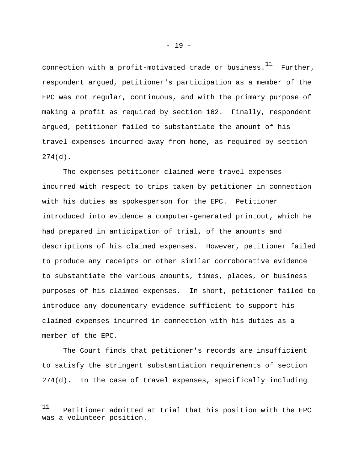connection with a profit-motivated trade or business.<sup>11</sup> Further, respondent argued, petitioner's participation as a member of the EPC was not regular, continuous, and with the primary purpose of making a profit as required by section 162. Finally, respondent argued, petitioner failed to substantiate the amount of his travel expenses incurred away from home, as required by section 274(d).

The expenses petitioner claimed were travel expenses incurred with respect to trips taken by petitioner in connection with his duties as spokesperson for the EPC. Petitioner introduced into evidence a computer-generated printout, which he had prepared in anticipation of trial, of the amounts and descriptions of his claimed expenses. However, petitioner failed to produce any receipts or other similar corroborative evidence to substantiate the various amounts, times, places, or business purposes of his claimed expenses. In short, petitioner failed to introduce any documentary evidence sufficient to support his claimed expenses incurred in connection with his duties as a member of the EPC.

The Court finds that petitioner's records are insufficient to satisfy the stringent substantiation requirements of section 274(d). In the case of travel expenses, specifically including

<sup>11</sup> Petitioner admitted at trial that his position with the EPC was a volunteer position.